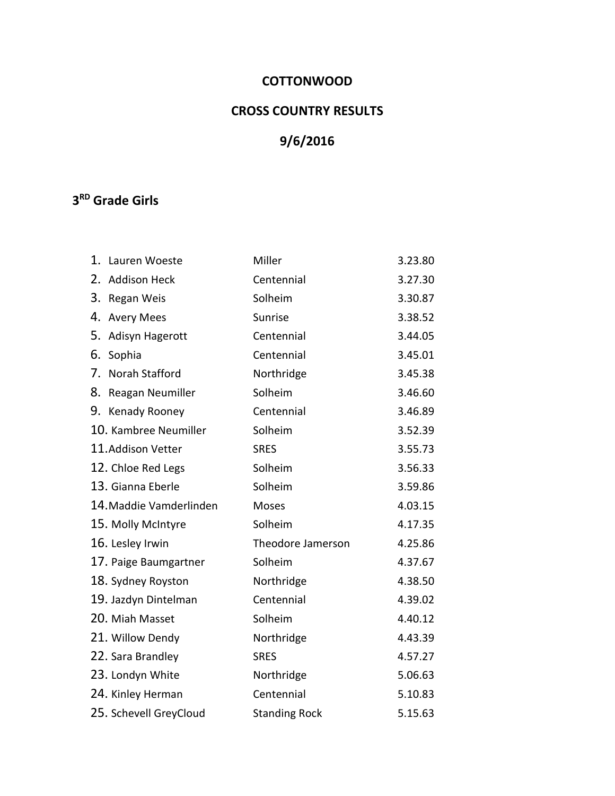## **COTTONWOOD**

# **CROSS COUNTRY RESULTS**

# **9/6/2016**

## **3 RD Grade Girls**

| 1. | Lauren Woeste           | Miller               | 3.23.80 |
|----|-------------------------|----------------------|---------|
| 2. | <b>Addison Heck</b>     | Centennial           | 3.27.30 |
| 3. | Regan Weis              | Solheim              | 3.30.87 |
| 4. | <b>Avery Mees</b>       | Sunrise              | 3.38.52 |
| 5. | Adisyn Hagerott         | Centennial           | 3.44.05 |
| 6. | Sophia                  | Centennial           | 3.45.01 |
| 7. | Norah Stafford          | Northridge           | 3.45.38 |
| 8. | Reagan Neumiller        | Solheim              | 3.46.60 |
|    | 9. Kenady Rooney        | Centennial           | 3.46.89 |
|    | 10. Kambree Neumiller   | Solheim              | 3.52.39 |
|    | 11. Addison Vetter      | <b>SRES</b>          | 3.55.73 |
|    | 12. Chloe Red Legs      | Solheim              | 3.56.33 |
|    | 13. Gianna Eberle       | Solheim              | 3.59.86 |
|    | 14. Maddie Vamderlinden | Moses                | 4.03.15 |
|    | 15. Molly McIntyre      | Solheim              | 4.17.35 |
|    | 16. Lesley Irwin        | Theodore Jamerson    | 4.25.86 |
|    | 17. Paige Baumgartner   | Solheim              | 4.37.67 |
|    | 18. Sydney Royston      | Northridge           | 4.38.50 |
|    | 19. Jazdyn Dintelman    | Centennial           | 4.39.02 |
|    | 20. Miah Masset         | Solheim              | 4.40.12 |
|    | 21. Willow Dendy        | Northridge           | 4.43.39 |
|    | 22. Sara Brandley       | <b>SRES</b>          | 4.57.27 |
|    | 23. Londyn White        | Northridge           | 5.06.63 |
|    | 24. Kinley Herman       | Centennial           | 5.10.83 |
|    | 25. Schevell GreyCloud  | <b>Standing Rock</b> | 5.15.63 |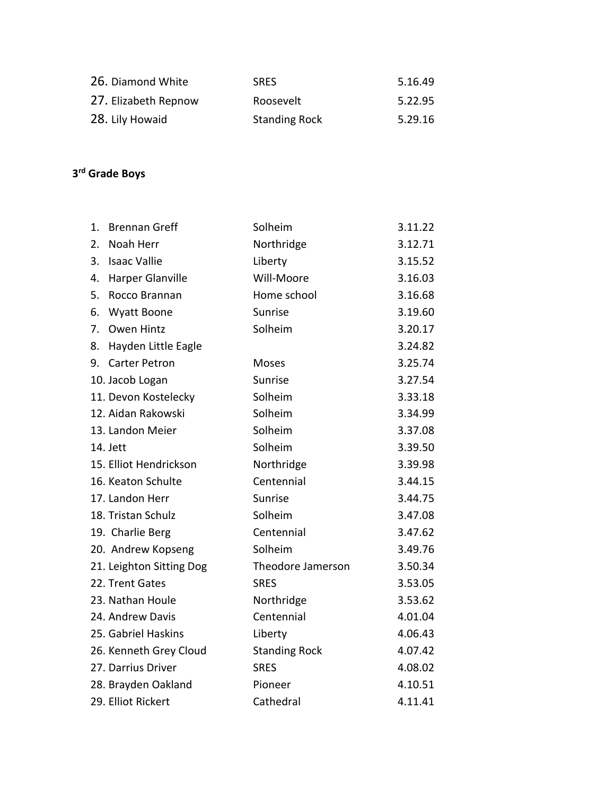| 26. Diamond White    | <b>SRFS</b>          | 5.16.49 |
|----------------------|----------------------|---------|
| 27. Elizabeth Repnow | Roosevelt            | 5.22.95 |
| 28. Lily Howaid      | <b>Standing Rock</b> | 5.29.16 |

#### **3 rd Grade Boys**

| 1. | <b>Brennan Greff</b>     | Solheim              | 3.11.22 |
|----|--------------------------|----------------------|---------|
| 2. | Noah Herr                | Northridge           | 3.12.71 |
| 3. | <b>Isaac Vallie</b>      | Liberty              | 3.15.52 |
| 4. | Harper Glanville         | Will-Moore           | 3.16.03 |
| 5. | Rocco Brannan            | Home school          | 3.16.68 |
| 6. | <b>Wyatt Boone</b>       | Sunrise              | 3.19.60 |
| 7. | Owen Hintz               | Solheim              | 3.20.17 |
| 8. | Hayden Little Eagle      |                      | 3.24.82 |
| 9. | <b>Carter Petron</b>     | Moses                | 3.25.74 |
|    | 10. Jacob Logan          | Sunrise              | 3.27.54 |
|    | 11. Devon Kostelecky     | Solheim              | 3.33.18 |
|    | 12. Aidan Rakowski       | Solheim              | 3.34.99 |
|    | 13. Landon Meier         | Solheim              | 3.37.08 |
|    | 14. Jett                 | Solheim              | 3.39.50 |
|    | 15. Elliot Hendrickson   | Northridge           | 3.39.98 |
|    | 16. Keaton Schulte       | Centennial           | 3.44.15 |
|    | 17. Landon Herr          | Sunrise              | 3.44.75 |
|    | 18. Tristan Schulz       | Solheim              | 3.47.08 |
|    | 19. Charlie Berg         | Centennial           | 3.47.62 |
|    | 20. Andrew Kopseng       | Solheim              | 3.49.76 |
|    | 21. Leighton Sitting Dog | Theodore Jamerson    | 3.50.34 |
|    | 22. Trent Gates          | <b>SRES</b>          | 3.53.05 |
|    | 23. Nathan Houle         | Northridge           | 3.53.62 |
|    | 24. Andrew Davis         | Centennial           | 4.01.04 |
|    | 25. Gabriel Haskins      | Liberty              | 4.06.43 |
|    | 26. Kenneth Grey Cloud   | <b>Standing Rock</b> | 4.07.42 |
|    | 27. Darrius Driver       | <b>SRES</b>          | 4.08.02 |
|    | 28. Brayden Oakland      | Pioneer              | 4.10.51 |
|    | 29. Elliot Rickert       | Cathedral            | 4.11.41 |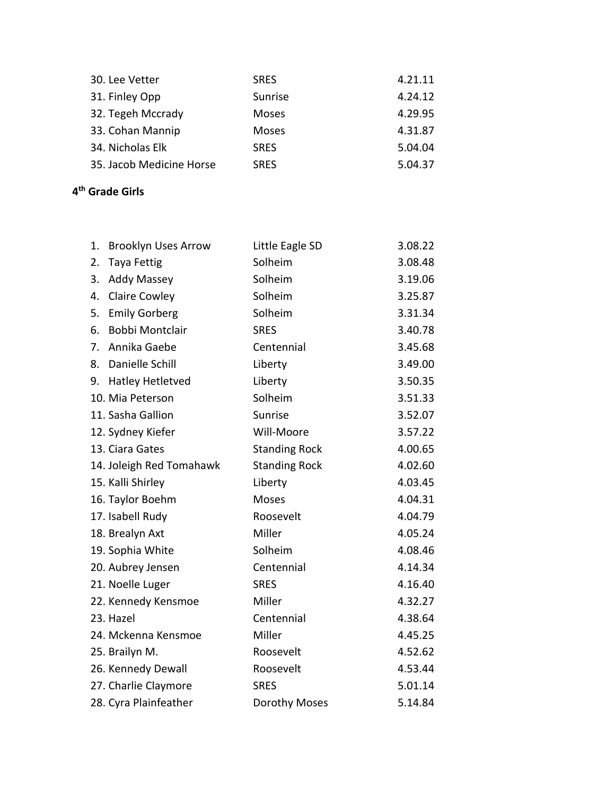| <b>SRES</b>  | 4.21.11 |
|--------------|---------|
| Sunrise      | 4.24.12 |
| <b>Moses</b> | 4.29.95 |
| <b>Moses</b> | 4.31.87 |
| <b>SRES</b>  | 5.04.04 |
| <b>SRES</b>  | 5.04.37 |
|              |         |

## **4 th Grade Girls**

| 1. | <b>Brooklyn Uses Arrow</b> | Little Eagle SD      | 3.08.22 |
|----|----------------------------|----------------------|---------|
| 2. | <b>Taya Fettig</b>         | Solheim              | 3.08.48 |
| 3. | <b>Addy Massey</b>         | Solheim              | 3.19.06 |
| 4. | <b>Claire Cowley</b>       | Solheim              | 3.25.87 |
| 5. | <b>Emily Gorberg</b>       | Solheim              | 3.31.34 |
| 6. | <b>Bobbi Montclair</b>     | <b>SRES</b>          | 3.40.78 |
| 7. | Annika Gaebe               | Centennial           | 3.45.68 |
| 8. | Danielle Schill            | Liberty              | 3.49.00 |
|    | 9. Hatley Hetletved        | Liberty              | 3.50.35 |
|    | 10. Mia Peterson           | Solheim              | 3.51.33 |
|    | 11. Sasha Gallion          | Sunrise              | 3.52.07 |
|    | 12. Sydney Kiefer          | Will-Moore           | 3.57.22 |
|    | 13. Ciara Gates            | <b>Standing Rock</b> | 4.00.65 |
|    | 14. Joleigh Red Tomahawk   | <b>Standing Rock</b> | 4.02.60 |
|    | 15. Kalli Shirley          | Liberty              | 4.03.45 |
|    | 16. Taylor Boehm           | Moses                | 4.04.31 |
|    | 17. Isabell Rudy           | Roosevelt            | 4.04.79 |
|    | 18. Brealyn Axt            | Miller               | 4.05.24 |
|    | 19. Sophia White           | Solheim              | 4.08.46 |
|    | 20. Aubrey Jensen          | Centennial           | 4.14.34 |
|    | 21. Noelle Luger           | <b>SRES</b>          | 4.16.40 |
|    | 22. Kennedy Kensmoe        | Miller               | 4.32.27 |
|    | 23. Hazel                  | Centennial           | 4.38.64 |
|    | 24. Mckenna Kensmoe        | Miller               | 4.45.25 |
|    | 25. Brailyn M.             | Roosevelt            | 4.52.62 |
|    | 26. Kennedy Dewall         | Roosevelt            | 4.53.44 |
|    | 27. Charlie Claymore       | <b>SRES</b>          | 5.01.14 |
|    | 28. Cyra Plainfeather      | Dorothy Moses        | 5.14.84 |
|    |                            |                      |         |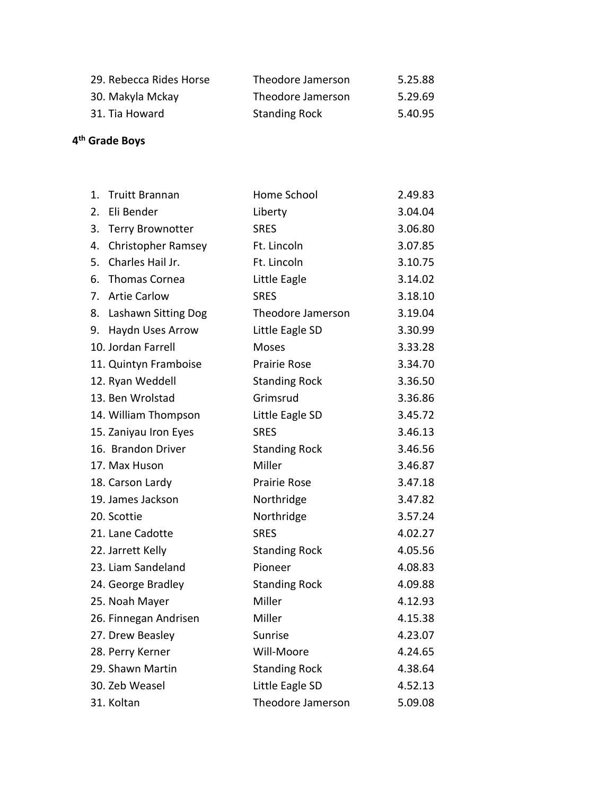| 29. Rebecca Rides Horse | Theodore Jamerson    | 5.25.88 |
|-------------------------|----------------------|---------|
| 30. Makyla Mckay        | Theodore Jamerson    | 5.29.69 |
| 31. Tia Howard          | <b>Standing Rock</b> | 5.40.95 |

#### **4 th Grade Boys**

| 1. | <b>Truitt Brannan</b>     | Home School          | 2.49.83 |
|----|---------------------------|----------------------|---------|
| 2. | Eli Bender                | Liberty              | 3.04.04 |
| 3. | <b>Terry Brownotter</b>   | <b>SRES</b>          | 3.06.80 |
| 4. | <b>Christopher Ramsey</b> | Ft. Lincoln          | 3.07.85 |
| 5. | Charles Hail Jr.          | Ft. Lincoln          | 3.10.75 |
| 6. | <b>Thomas Cornea</b>      | Little Eagle         | 3.14.02 |
| 7. | <b>Artie Carlow</b>       | <b>SRES</b>          | 3.18.10 |
| 8. | Lashawn Sitting Dog       | Theodore Jamerson    | 3.19.04 |
| 9. | Haydn Uses Arrow          | Little Eagle SD      | 3.30.99 |
|    | 10. Jordan Farrell        | <b>Moses</b>         | 3.33.28 |
|    | 11. Quintyn Framboise     | <b>Prairie Rose</b>  | 3.34.70 |
|    | 12. Ryan Weddell          | <b>Standing Rock</b> | 3.36.50 |
|    | 13. Ben Wrolstad          | Grimsrud             | 3.36.86 |
|    | 14. William Thompson      | Little Eagle SD      | 3.45.72 |
|    | 15. Zaniyau Iron Eyes     | <b>SRES</b>          | 3.46.13 |
|    | 16. Brandon Driver        | <b>Standing Rock</b> | 3.46.56 |
|    | 17. Max Huson             | Miller               | 3.46.87 |
|    | 18. Carson Lardy          | <b>Prairie Rose</b>  | 3.47.18 |
|    | 19. James Jackson         | Northridge           | 3.47.82 |
|    | 20. Scottie               | Northridge           | 3.57.24 |
|    | 21. Lane Cadotte          | <b>SRES</b>          | 4.02.27 |
|    | 22. Jarrett Kelly         | <b>Standing Rock</b> | 4.05.56 |
|    | 23. Liam Sandeland        | Pioneer              | 4.08.83 |
|    | 24. George Bradley        | <b>Standing Rock</b> | 4.09.88 |
|    | 25. Noah Mayer            | Miller               | 4.12.93 |
|    | 26. Finnegan Andrisen     | Miller               | 4.15.38 |
|    | 27. Drew Beasley          | Sunrise              | 4.23.07 |
|    | 28. Perry Kerner          | Will-Moore           | 4.24.65 |
|    | 29. Shawn Martin          | <b>Standing Rock</b> | 4.38.64 |
|    | 30. Zeb Weasel            | Little Eagle SD      | 4.52.13 |
|    | 31. Koltan                | Theodore Jamerson    | 5.09.08 |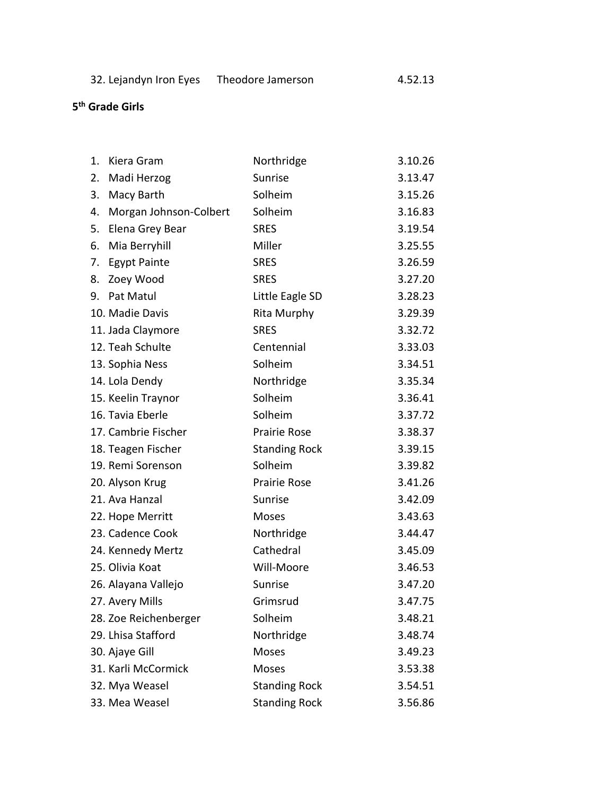| 32. Lejandyn Iron Eyes | Theodore Jamerson |
|------------------------|-------------------|
|------------------------|-------------------|

 $4.52.13$ 

#### **5 th Grade Girls**

| 1. | Kiera Gram             | Northridge           | 3.10.26 |
|----|------------------------|----------------------|---------|
| 2. | Madi Herzog            | Sunrise              | 3.13.47 |
| 3. | Macy Barth             | Solheim              | 3.15.26 |
| 4. | Morgan Johnson-Colbert | Solheim              | 3.16.83 |
| 5. | Elena Grey Bear        | <b>SRES</b>          | 3.19.54 |
| 6. | Mia Berryhill          | Miller               | 3.25.55 |
| 7. | <b>Egypt Painte</b>    | <b>SRES</b>          | 3.26.59 |
| 8. | Zoey Wood              | <b>SRES</b>          | 3.27.20 |
| 9. | Pat Matul              | Little Eagle SD      | 3.28.23 |
|    | 10. Madie Davis        | Rita Murphy          | 3.29.39 |
|    | 11. Jada Claymore      | <b>SRES</b>          | 3.32.72 |
|    | 12. Teah Schulte       | Centennial           | 3.33.03 |
|    | 13. Sophia Ness        | Solheim              | 3.34.51 |
|    | 14. Lola Dendy         | Northridge           | 3.35.34 |
|    | 15. Keelin Traynor     | Solheim              | 3.36.41 |
|    | 16. Tavia Eberle       | Solheim              | 3.37.72 |
|    | 17. Cambrie Fischer    | Prairie Rose         | 3.38.37 |
|    | 18. Teagen Fischer     | <b>Standing Rock</b> | 3.39.15 |
|    | 19. Remi Sorenson      | Solheim              | 3.39.82 |
|    | 20. Alyson Krug        | Prairie Rose         | 3.41.26 |
|    | 21. Ava Hanzal         | Sunrise              | 3.42.09 |
|    | 22. Hope Merritt       | Moses                | 3.43.63 |
|    | 23. Cadence Cook       | Northridge           | 3.44.47 |
|    | 24. Kennedy Mertz      | Cathedral            | 3.45.09 |
|    | 25. Olivia Koat        | Will-Moore           | 3.46.53 |
|    | 26. Alayana Vallejo    | Sunrise              | 3.47.20 |
|    | 27. Avery Mills        | Grimsrud             | 3.47.75 |
|    | 28. Zoe Reichenberger  | Solheim              | 3.48.21 |
|    | 29. Lhisa Stafford     | Northridge           | 3.48.74 |
|    | 30. Ajaye Gill         | <b>Moses</b>         | 3.49.23 |
|    | 31. Karli McCormick    | Moses                | 3.53.38 |
|    | 32. Mya Weasel         | <b>Standing Rock</b> | 3.54.51 |
|    | 33. Mea Weasel         | <b>Standing Rock</b> | 3.56.86 |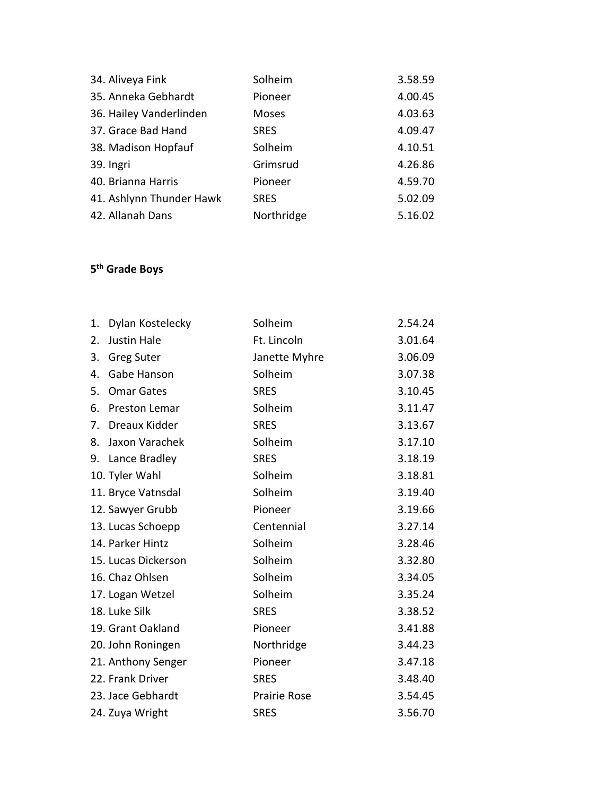| 34. Aliveya Fink         | Solheim     | 3.58.59 |
|--------------------------|-------------|---------|
| 35. Anneka Gebhardt      | Pioneer     | 4.00.45 |
| 36. Hailey Vanderlinden  | Moses       | 4.03.63 |
| 37. Grace Bad Hand       | <b>SRES</b> | 4.09.47 |
| 38. Madison Hopfauf      | Solheim     | 4.10.51 |
| 39. Ingri                | Grimsrud    | 4.26.86 |
| 40. Brianna Harris       | Pioneer     | 4.59.70 |
| 41. Ashlynn Thunder Hawk | <b>SRES</b> | 5.02.09 |
| 42. Allanah Dans         | Northridge  | 5.16.02 |

## **5 th Grade Boys**

| 1. | Dylan Kostelecky    | Solheim       | 2.54.24 |
|----|---------------------|---------------|---------|
| 2. | <b>Justin Hale</b>  | Ft. Lincoln   | 3.01.64 |
| 3. | <b>Greg Suter</b>   | Janette Myhre | 3.06.09 |
| 4. | Gabe Hanson         | Solheim       | 3.07.38 |
| 5. | <b>Omar Gates</b>   | <b>SRES</b>   | 3.10.45 |
| 6. | Preston Lemar       | Solheim       | 3.11.47 |
| 7. | Dreaux Kidder       | <b>SRES</b>   | 3.13.67 |
| 8. | Jaxon Varachek      | Solheim       | 3.17.10 |
|    | 9. Lance Bradley    | <b>SRES</b>   | 3.18.19 |
|    | 10. Tyler Wahl      | Solheim       | 3.18.81 |
|    | 11. Bryce Vatnsdal  | Solheim       | 3.19.40 |
|    | 12. Sawyer Grubb    | Pioneer       | 3.19.66 |
|    | 13. Lucas Schoepp   | Centennial    | 3.27.14 |
|    | 14. Parker Hintz    | Solheim       | 3.28.46 |
|    | 15. Lucas Dickerson | Solheim       | 3.32.80 |
|    | 16. Chaz Ohlsen     | Solheim       | 3.34.05 |
|    | 17. Logan Wetzel    | Solheim       | 3.35.24 |
|    | 18. Luke Silk       | <b>SRES</b>   | 3.38.52 |
|    | 19. Grant Oakland   | Pioneer       | 3.41.88 |
|    | 20. John Roningen   | Northridge    | 3.44.23 |
|    | 21. Anthony Senger  | Pioneer       | 3.47.18 |
|    | 22. Frank Driver    | <b>SRES</b>   | 3.48.40 |
|    | 23. Jace Gebhardt   | Prairie Rose  | 3.54.45 |
|    | 24. Zuya Wright     | <b>SRES</b>   | 3.56.70 |